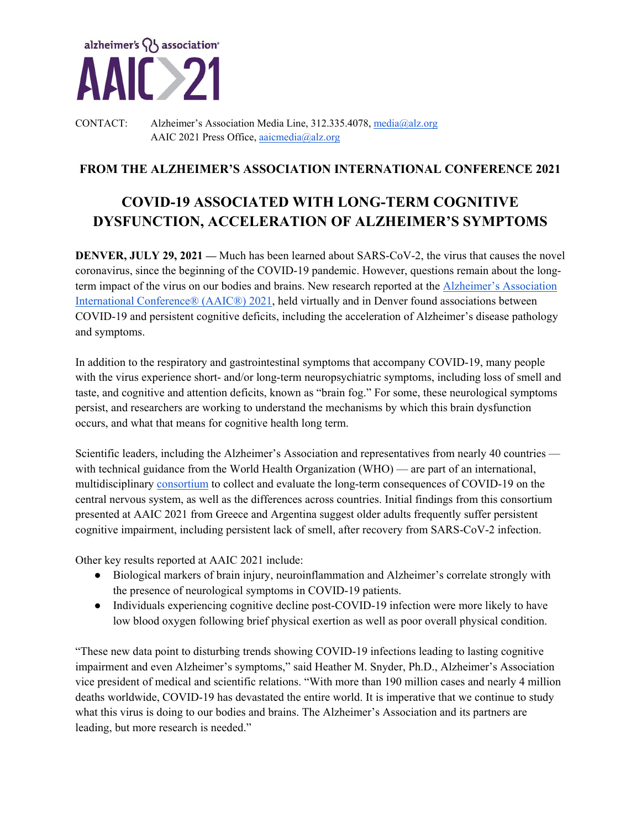

CONTACT: Alzheimer's Association Media Line, 312.335.4078, media@alz.org AAIC 2021 Press Office, aaicmedia@alz.org

## **FROM THE ALZHEIMER'S ASSOCIATION INTERNATIONAL CONFERENCE 2021**

# **COVID-19 ASSOCIATED WITH LONG-TERM COGNITIVE DYSFUNCTION, ACCELERATION OF ALZHEIMER'S SYMPTOMS**

**DENVER, JULY 29, 2021** — Much has been learned about SARS-CoV-2, the virus that causes the novel coronavirus, since the beginning of the COVID-19 pandemic. However, questions remain about the longterm impact of the virus on our bodies and brains. New research reported at the **Alzheimer's Association** International Conference® (AAIC®) 2021, held virtually and in Denver found associations between COVID-19 and persistent cognitive deficits, including the acceleration of Alzheimer's disease pathology and symptoms.

In addition to the respiratory and gastrointestinal symptoms that accompany COVID-19, many people with the virus experience short- and/or long-term neuropsychiatric symptoms, including loss of smell and taste, and cognitive and attention deficits, known as "brain fog." For some, these neurological symptoms persist, and researchers are working to understand the mechanisms by which this brain dysfunction occurs, and what that means for cognitive health long term.

Scientific leaders, including the Alzheimer's Association and representatives from nearly 40 countries with technical guidance from the World Health Organization (WHO) — are part of an international, multidisciplinary consortium to collect and evaluate the long-term consequences of COVID-19 on the central nervous system, as well as the differences across countries. Initial findings from this consortium presented at AAIC 2021 from Greece and Argentina suggest older adults frequently suffer persistent cognitive impairment, including persistent lack of smell, after recovery from SARS-CoV-2 infection.

Other key results reported at AAIC 2021 include:

- Biological markers of brain injury, neuroinflammation and Alzheimer's correlate strongly with the presence of neurological symptoms in COVID-19 patients.
- Individuals experiencing cognitive decline post-COVID-19 infection were more likely to have low blood oxygen following brief physical exertion as well as poor overall physical condition.

"These new data point to disturbing trends showing COVID-19 infections leading to lasting cognitive impairment and even Alzheimer's symptoms," said Heather M. Snyder, Ph.D., Alzheimer's Association vice president of medical and scientific relations. "With more than 190 million cases and nearly 4 million deaths worldwide, COVID-19 has devastated the entire world. It is imperative that we continue to study what this virus is doing to our bodies and brains. The Alzheimer's Association and its partners are leading, but more research is needed."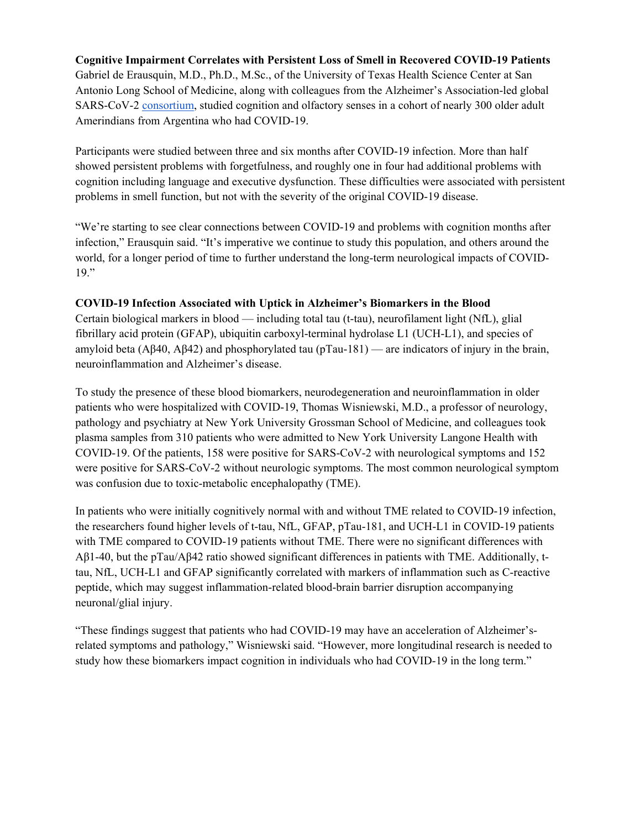**Cognitive Impairment Correlates with Persistent Loss of Smell in Recovered COVID-19 Patients**  Gabriel de Erausquin, M.D., Ph.D., M.Sc., of the University of Texas Health Science Center at San Antonio Long School of Medicine, along with colleagues from the Alzheimer's Association-led global SARS-CoV-2 consortium, studied cognition and olfactory senses in a cohort of nearly 300 older adult Amerindians from Argentina who had COVID-19.

Participants were studied between three and six months after COVID-19 infection. More than half showed persistent problems with forgetfulness, and roughly one in four had additional problems with cognition including language and executive dysfunction. These difficulties were associated with persistent problems in smell function, but not with the severity of the original COVID-19 disease.

"We're starting to see clear connections between COVID-19 and problems with cognition months after infection," Erausquin said. "It's imperative we continue to study this population, and others around the world, for a longer period of time to further understand the long-term neurological impacts of COVID-19."

#### **COVID-19 Infection Associated with Uptick in Alzheimer's Biomarkers in the Blood**

Certain biological markers in blood — including total tau (t-tau), neurofilament light (NfL), glial fibrillary acid protein (GFAP), ubiquitin carboxyl-terminal hydrolase L1 (UCH-L1), and species of amyloid beta (Aβ40, Aβ42) and phosphorylated tau (pTau-181) — are indicators of injury in the brain, neuroinflammation and Alzheimer's disease.

To study the presence of these blood biomarkers, neurodegeneration and neuroinflammation in older patients who were hospitalized with COVID-19, Thomas Wisniewski, M.D., a professor of neurology, pathology and psychiatry at New York University Grossman School of Medicine, and colleagues took plasma samples from 310 patients who were admitted to New York University Langone Health with COVID-19. Of the patients, 158 were positive for SARS-CoV-2 with neurological symptoms and 152 were positive for SARS-CoV-2 without neurologic symptoms. The most common neurological symptom was confusion due to toxic-metabolic encephalopathy (TME).

In patients who were initially cognitively normal with and without TME related to COVID-19 infection, the researchers found higher levels of t-tau, NfL, GFAP, pTau-181, and UCH-L1 in COVID-19 patients with TME compared to COVID-19 patients without TME. There were no significant differences with Aβ1-40, but the pTau/Aβ42 ratio showed significant differences in patients with TME. Additionally, ttau, NfL, UCH-L1 and GFAP significantly correlated with markers of inflammation such as C-reactive peptide, which may suggest inflammation-related blood-brain barrier disruption accompanying neuronal/glial injury.

"These findings suggest that patients who had COVID-19 may have an acceleration of Alzheimer'srelated symptoms and pathology," Wisniewski said. "However, more longitudinal research is needed to study how these biomarkers impact cognition in individuals who had COVID-19 in the long term."